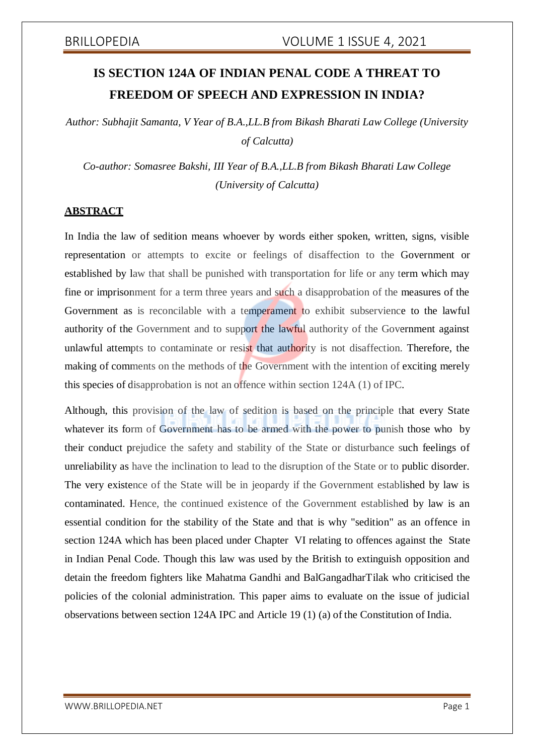# **IS SECTION 124A OF INDIAN PENAL CODE A THREAT TO FREEDOM OF SPEECH AND EXPRESSION IN INDIA?**

*Author: Subhajit Samanta, V Year of B.A.,LL.B from Bikash Bharati Law College (University of Calcutta)*

*Co-author: Somasree Bakshi, III Year of B.A.,LL.B from Bikash Bharati Law College (University of Calcutta)*

## **ABSTRACT**

In India the law of sedition means whoever by words either spoken, written, signs, visible representation or attempts to excite or feelings of disaffection to the Government or established by law that shall be punished with transportation for life or any term which may fine or imprisonment for a term three years and such a disapprobation of the measures of the Government as is reconcilable with a temperament to exhibit subservience to the lawful authority of the Government and to support the lawful authority of the Government against unlawful attempts to contaminate or resist that authority is not disaffection. Therefore, the making of comments on the methods of the Government with the intention of exciting merely this species of disapprobation is not an offence within section 124A (1) of IPC.

Although, this provision of the law of sedition is based on the principle that every State whatever its form of Government has to be armed with the power to punish those who by their conduct prejudice the safety and stability of the State or disturbance such feelings of unreliability as have the inclination to lead to the disruption of the State or to public disorder. The very existence of the State will be in jeopardy if the Government established by law is contaminated. Hence, the continued existence of the Government established by law is an essential condition for the stability of the State and that is why "sedition" as an offence in section 124A which has been placed under Chapter VI relating to offences against the State in Indian Penal Code. Though this law was used by the British to extinguish opposition and detain the freedom fighters like Mahatma Gandhi and BalGangadharTilak who criticised the policies of the colonial administration. This paper aims to evaluate on the issue of judicial observations between section 124A IPC and Article 19 (1) (a) of the Constitution of India.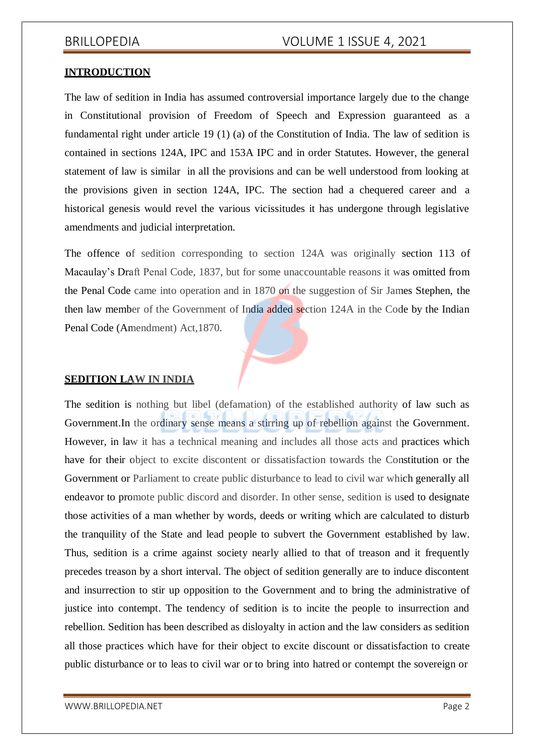## **INTRODUCTION**

The law of sedition in India has assumed controversial importance largely due to the change in Constitutional provision of Freedom of Speech and Expression guaranteed as a fundamental right under article 19 (1) (a) of the Constitution of India. The law of sedition is contained in sections 124A, IPC and 153A IPC and in order Statutes. However, the general statement of law is similar in all the provisions and can be well understood from looking at the provisions given in section 124A, IPC. The section had a chequered career and a historical genesis would revel the various vicissitudes it has undergone through legislative amendments and judicial interpretation.

The offence of sedition corresponding to section 124A was originally section 113 of Macaulay's Draft Penal Code, 1837, but for some unaccountable reasons it was omitted from the Penal Code came into operation and in 1870 on the suggestion of Sir James Stephen, the then law member of the Government of India added section 124A in the Code by the Indian Penal Code (Amendment) Act,1870.

## **SEDITION LAW IN INDIA**

The sedition is nothing but libel (defamation) of the established authority of law such as Government. In the ordinary sense means a stirring up of rebellion against the Government. However, in law it has a technical meaning and includes all those acts and practices which have for their object to excite discontent or dissatisfaction towards the Constitution or the Government or Parliament to create public disturbance to lead to civil war which generally all endeavor to promote public discord and disorder. In other sense, sedition is used to designate those activities of a man whether by words, deeds or writing which are calculated to disturb the tranquility of the State and lead people to subvert the Government established by law. Thus, sedition is a crime against society nearly allied to that of treason and it frequently precedes treason by a short interval. The object of sedition generally are to induce discontent and insurrection to stir up opposition to the Government and to bring the administrative of justice into contempt. The tendency of sedition is to incite the people to insurrection and rebellion. Sedition has been described as disloyalty in action and the law considers as sedition all those practices which have for their object to excite discount or dissatisfaction to create public disturbance or to leas to civil war or to bring into hatred or contempt the sovereign or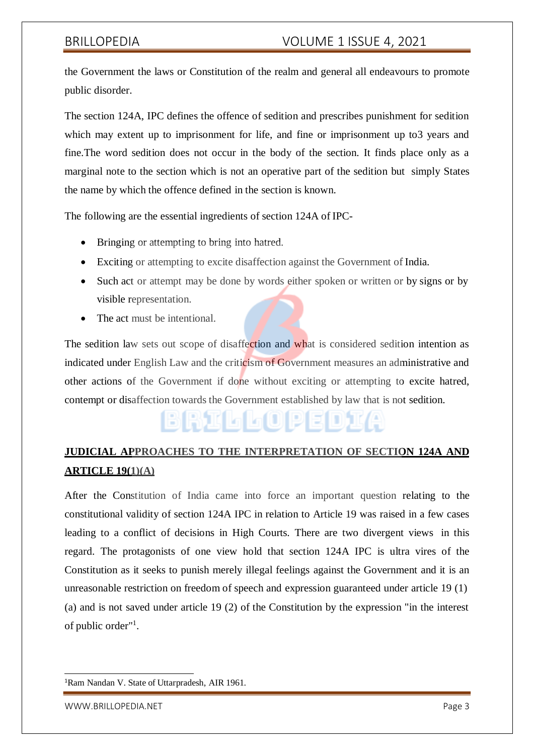the Government the laws or Constitution of the realm and general all endeavours to promote public disorder.

The section 124A, IPC defines the offence of sedition and prescribes punishment for sedition which may extent up to imprisonment for life, and fine or imprisonment up to 3 years and fine.The word sedition does not occur in the body of the section. It finds place only as a marginal note to the section which is not an operative part of the sedition but simply States the name by which the offence defined in the section is known.

The following are the essential ingredients of section 124A of IPC-

- Bringing or attempting to bring into hatred.
- Exciting or attempting to excite disaffection against the Government of India.
- Such act or attempt may be done by words either spoken or written or by signs or by visible representation.
- The act must be intentional.

The sedition law sets out scope of disaffection and what is considered sedition intention as indicated under English Law and the criticism of Government measures an administrative and other actions of the Government if done without exciting or attempting to excite hatred, contempt or disaffection towards the Government established by law that is not sedition.

## **JUDICIAL APPROACHES TO THE INTERPRETATION OF SECTION 124A AND ARTICLE 19(1)(A)**

BRILLOPEDIA

After the Constitution of India came into force an important question relating to the constitutional validity of section 124A IPC in relation to Article 19 was raised in a few cases leading to a conflict of decisions in High Courts. There are two divergent views in this regard. The protagonists of one view hold that section 124A IPC is ultra vires of the Constitution as it seeks to punish merely illegal feelings against the Government and it is an unreasonable restriction on freedom of speech and expression guaranteed under article 19 (1) (a) and is not saved under article 19 (2) of the Constitution by the expression "in the interest of public order"<sup>1</sup>.

<sup>1</sup>Ram Nandan V. State of Uttarpradesh, AIR 1961.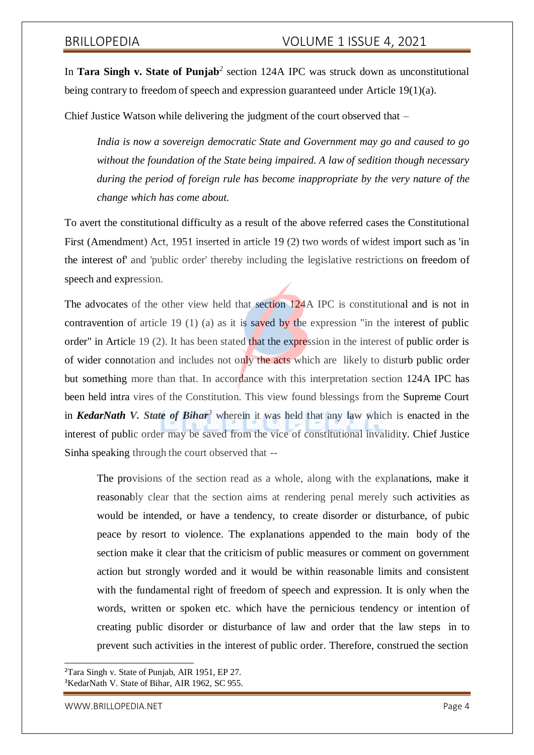In **Tara Singh v. State of Punjab***<sup>2</sup>* section 124A IPC was struck down as unconstitutional being contrary to freedom of speech and expression guaranteed under Article 19(1)(a).

Chief Justice Watson while delivering the judgment of the court observed that *–*

*India is now a sovereign democratic State and Government may go and caused to go without the foundation of the State being impaired. A law of sedition though necessary during the period of foreign rule has become inappropriate by the very nature of the change which has come about.*

To avert the constitutional difficulty as a result of the above referred cases the Constitutional First (Amendment) Act, 1951 inserted in article 19 (2) two words of widest import such as 'in the interest of' and 'public order' thereby including the legislative restrictions on freedom of speech and expression.

The advocates of the other view held that section 124A IPC is constitutional and is not in contravention of article 19 (1) (a) as it is saved by the expression "in the interest of public order" in Article 19 (2). It has been stated that the expression in the interest of public order is of wider connotation and includes not only the acts which are likely to disturb public order but something more than that. In accordance with this interpretation section 124A IPC has been held intra vires of the Constitution. This view found blessings from the Supreme Court in *KedarNath V. State of Bihar<sup>3</sup>* wherein it was held that any law which is enacted in the interest of public order may be saved from the vice of constitutional invalidity. Chief Justice Sinha speaking through the court observed that --

The provisions of the section read as a whole, along with the explanations, make it reasonably clear that the section aims at rendering penal merely such activities as would be intended, or have a tendency, to create disorder or disturbance, of pubic peace by resort to violence. The explanations appended to the main body of the section make it clear that the criticism of public measures or comment on government action but strongly worded and it would be within reasonable limits and consistent with the fundamental right of freedom of speech and expression. It is only when the words, written or spoken etc. which have the pernicious tendency or intention of creating public disorder or disturbance of law and order that the law steps in to prevent such activities in the interest of public order. Therefore, construed the section

<sup>2</sup>Tara Singh v. State of Punjab, AIR 1951, EP 27. <sup>3</sup>KedarNath V. State of Bihar, AIR 1962, SC 955.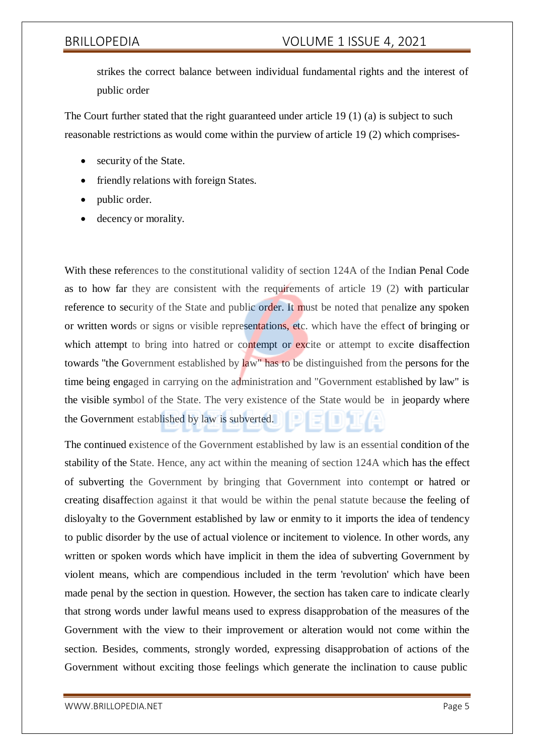strikes the correct balance between individual fundamental rights and the interest of public order

The Court further stated that the right guaranteed under article 19 (1) (a) is subject to such reasonable restrictions as would come within the purview of article 19 (2) which comprises-

- security of the State.
- friendly relations with foreign States.
- public order.
- decency or morality.

With these references to the constitutional validity of section 124A of the Indian Penal Code as to how far they are consistent with the requirements of article 19 (2) with particular reference to security of the State and public order. It must be noted that penalize any spoken or written words or signs or visible representations, etc. which have the effect of bringing or which attempt to bring into hatred or contempt or excite or attempt to excite disaffection towards "the Government established by law" has to be distinguished from the persons for the time being engaged in carrying on the administration and "Government established by law" is the visible symbol of the State. The very existence of the State would be in jeopardy where the Government established by law is subverted.

The continued existence of the Government established by law is an essential condition of the stability of the State. Hence, any act within the meaning of section 124A which has the effect of subverting the Government by bringing that Government into contempt or hatred or creating disaffection against it that would be within the penal statute because the feeling of disloyalty to the Government established by law or enmity to it imports the idea of tendency to public disorder by the use of actual violence or incitement to violence. In other words, any written or spoken words which have implicit in them the idea of subverting Government by violent means, which are compendious included in the term 'revolution' which have been made penal by the section in question. However, the section has taken care to indicate clearly that strong words under lawful means used to express disapprobation of the measures of the Government with the view to their improvement or alteration would not come within the section. Besides, comments, strongly worded, expressing disapprobation of actions of the Government without exciting those feelings which generate the inclination to cause public